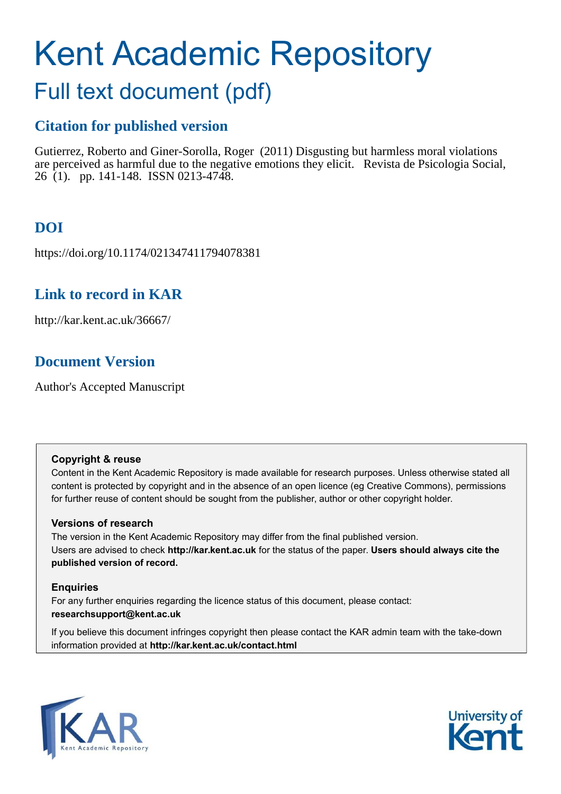# Kent Academic Repository

## Full text document (pdf)

## **Citation for published version**

Gutierrez, Roberto and Giner-Sorolla, Roger (2011) Disgusting but harmless moral violations are perceived as harmful due to the negative emotions they elicit. Revista de Psicologia Social, 26 (1). pp. 141-148. ISSN 0213-4748.

## **DOI**

https://doi.org/10.1174/021347411794078381

## **Link to record in KAR**

http://kar.kent.ac.uk/36667/

## **Document Version**

Author's Accepted Manuscript

#### **Copyright & reuse**

Content in the Kent Academic Repository is made available for research purposes. Unless otherwise stated all content is protected by copyright and in the absence of an open licence (eg Creative Commons), permissions for further reuse of content should be sought from the publisher, author or other copyright holder.

#### **Versions of research**

The version in the Kent Academic Repository may differ from the final published version. Users are advised to check **http://kar.kent.ac.uk** for the status of the paper. **Users should always cite the published version of record.**

#### **Enquiries**

For any further enquiries regarding the licence status of this document, please contact: **researchsupport@kent.ac.uk**

If you believe this document infringes copyright then please contact the KAR admin team with the take-down information provided at **http://kar.kent.ac.uk/contact.html**



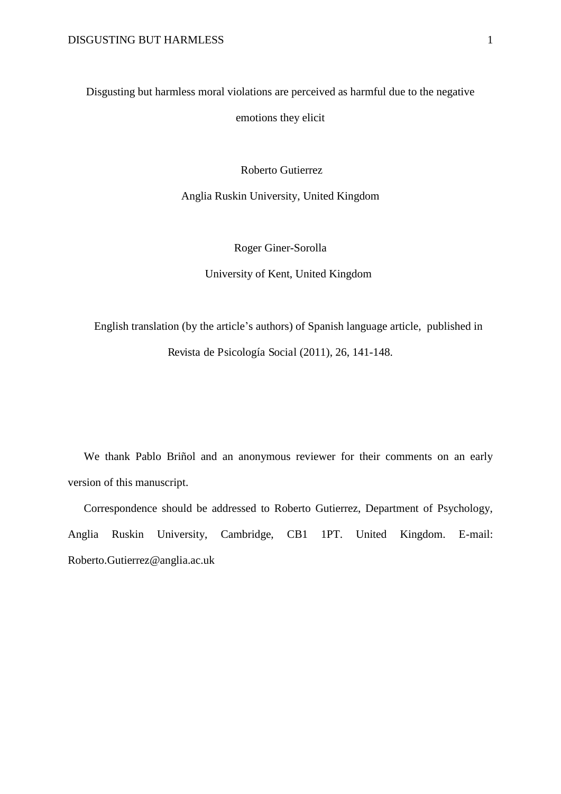Disgusting but harmless moral violations are perceived as harmful due to the negative emotions they elicit

Roberto Gutierrez

Anglia Ruskin University, United Kingdom

Roger Giner-Sorolla

University of Kent, United Kingdom

English translation (by the article's authors) of Spanish language article, published in Revista de Psicología Social (2011), 26, 141-148.

We thank Pablo Briñol and an anonymous reviewer for their comments on an early version of this manuscript.

Correspondence should be addressed to Roberto Gutierrez, Department of Psychology, Anglia Ruskin University, Cambridge, CB1 1PT. United Kingdom. E-mail: Roberto.Gutierrez@anglia.ac.uk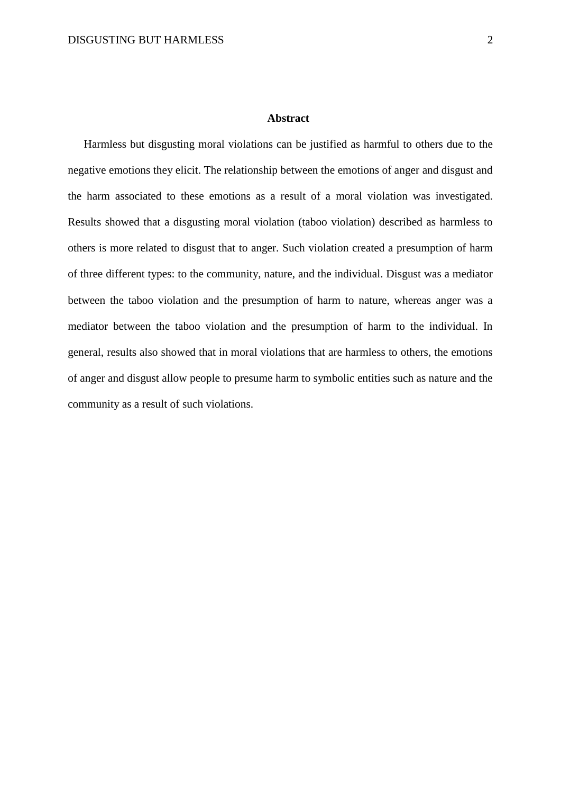#### **Abstract**

Harmless but disgusting moral violations can be justified as harmful to others due to the negative emotions they elicit. The relationship between the emotions of anger and disgust and the harm associated to these emotions as a result of a moral violation was investigated. Results showed that a disgusting moral violation (taboo violation) described as harmless to others is more related to disgust that to anger. Such violation created a presumption of harm of three different types: to the community, nature, and the individual. Disgust was a mediator between the taboo violation and the presumption of harm to nature, whereas anger was a mediator between the taboo violation and the presumption of harm to the individual. In general, results also showed that in moral violations that are harmless to others, the emotions of anger and disgust allow people to presume harm to symbolic entities such as nature and the community as a result of such violations.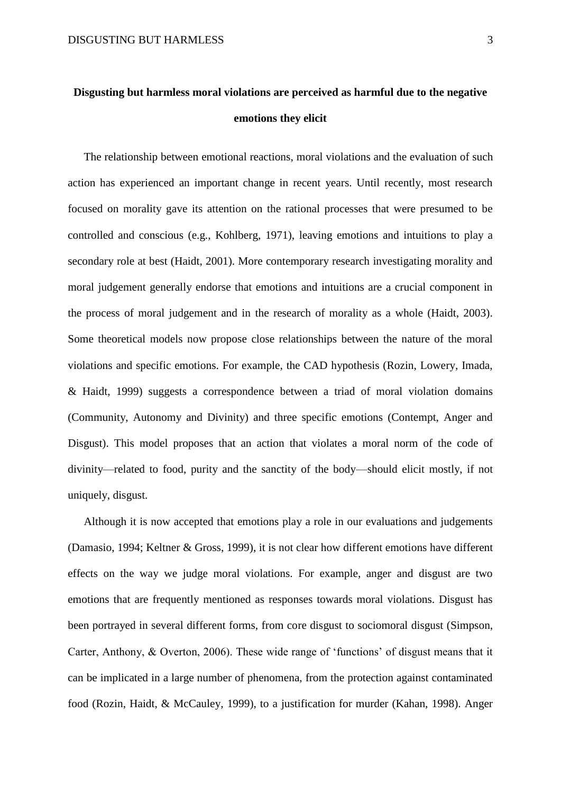The relationship between emotional reactions, moral violations and the evaluation of such action has experienced an important change in recent years. Until recently, most research focused on morality gave its attention on the rational processes that were presumed to be controlled and conscious (e.g., Kohlberg, 1971), leaving emotions and intuitions to play a secondary role at best (Haidt, 2001). More contemporary research investigating morality and moral judgement generally endorse that emotions and intuitions are a crucial component in the process of moral judgement and in the research of morality as a whole (Haidt, 2003). Some theoretical models now propose close relationships between the nature of the moral violations and specific emotions. For example, the CAD hypothesis (Rozin, Lowery, Imada, & Haidt, 1999) suggests a correspondence between a triad of moral violation domains (Community, Autonomy and Divinity) and three specific emotions (Contempt, Anger and Disgust). This model proposes that an action that violates a moral norm of the code of divinity—related to food, purity and the sanctity of the body—should elicit mostly, if not uniquely, disgust.

Although it is now accepted that emotions play a role in our evaluations and judgements (Damasio, 1994; Keltner & Gross, 1999), it is not clear how different emotions have different effects on the way we judge moral violations. For example, anger and disgust are two emotions that are frequently mentioned as responses towards moral violations. Disgust has been portrayed in several different forms, from core disgust to sociomoral disgust (Simpson, Carter, Anthony, & Overton, 2006). These wide range of 'functions' of disgust means that it can be implicated in a large number of phenomena, from the protection against contaminated food (Rozin, Haidt, & McCauley, 1999), to a justification for murder (Kahan, 1998). Anger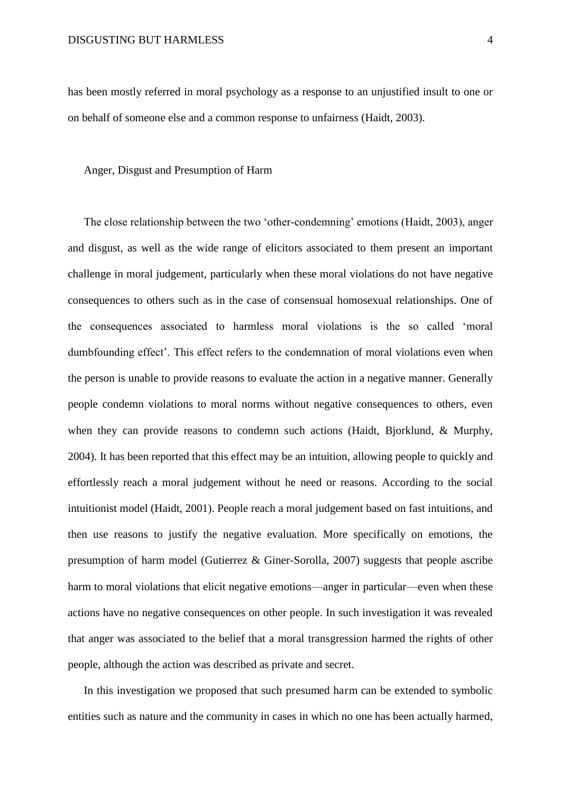has been mostly referred in moral psychology as a response to an unjustified insult to one or on behalf of someone else and a common response to unfairness (Haidt, 2003).

#### Anger, Disgust and Presumption of Harm

The close relationship between the two 'other-condemning' emotions (Haidt, 2003), anger and disgust, as well as the wide range of elicitors associated to them present an important challenge in moral judgement, particularly when these moral violations do not have negative consequences to others such as in the case of consensual homosexual relationships. One of the consequences associated to harmless moral violations is the so called 'moral dumbfounding effect'. This effect refers to the condemnation of moral violations even when the person is unable to provide reasons to evaluate the action in a negative manner. Generally people condemn violations to moral norms without negative consequences to others, even when they can provide reasons to condemn such actions (Haidt, Bjorklund, & Murphy, 2004). It has been reported that this effect may be an intuition, allowing people to quickly and effortlessly reach a moral judgement without he need or reasons. According to the social intuitionist model (Haidt, 2001). People reach a moral judgement based on fast intuitions, and then use reasons to justify the negative evaluation. More specifically on emotions, the presumption of harm model (Gutierrez & Giner-Sorolla, 2007) suggests that people ascribe harm to moral violations that elicit negative emotions—anger in particular—even when these actions have no negative consequences on other people. In such investigation it was revealed that anger was associated to the belief that a moral transgression harmed the rights of other people, although the action was described as private and secret.

In this investigation we proposed that such presumed harm can be extended to symbolic entities such as nature and the community in cases in which no one has been actually harmed,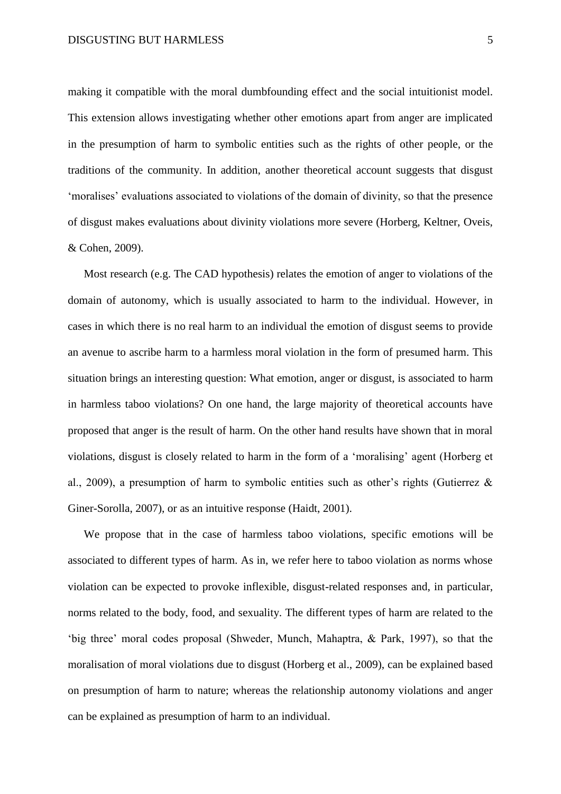making it compatible with the moral dumbfounding effect and the social intuitionist model. This extension allows investigating whether other emotions apart from anger are implicated in the presumption of harm to symbolic entities such as the rights of other people, or the traditions of the community. In addition, another theoretical account suggests that disgust 'moralises' evaluations associated to violations of the domain of divinity, so that the presence of disgust makes evaluations about divinity violations more severe (Horberg, Keltner, Oveis, & Cohen, 2009).

Most research (e.g. The CAD hypothesis) relates the emotion of anger to violations of the domain of autonomy, which is usually associated to harm to the individual. However, in cases in which there is no real harm to an individual the emotion of disgust seems to provide an avenue to ascribe harm to a harmless moral violation in the form of presumed harm. This situation brings an interesting question: What emotion, anger or disgust, is associated to harm in harmless taboo violations? On one hand, the large majority of theoretical accounts have proposed that anger is the result of harm. On the other hand results have shown that in moral violations, disgust is closely related to harm in the form of a 'moralising' agent (Horberg et al., 2009), a presumption of harm to symbolic entities such as other's rights (Gutierrez & Giner-Sorolla, 2007), or as an intuitive response (Haidt, 2001).

We propose that in the case of harmless taboo violations, specific emotions will be associated to different types of harm. As in, we refer here to taboo violation as norms whose violation can be expected to provoke inflexible, disgust-related responses and, in particular, norms related to the body, food, and sexuality. The different types of harm are related to the 'big three' moral codes proposal (Shweder, Munch, Mahaptra, & Park, 1997), so that the moralisation of moral violations due to disgust (Horberg et al., 2009), can be explained based on presumption of harm to nature; whereas the relationship autonomy violations and anger can be explained as presumption of harm to an individual.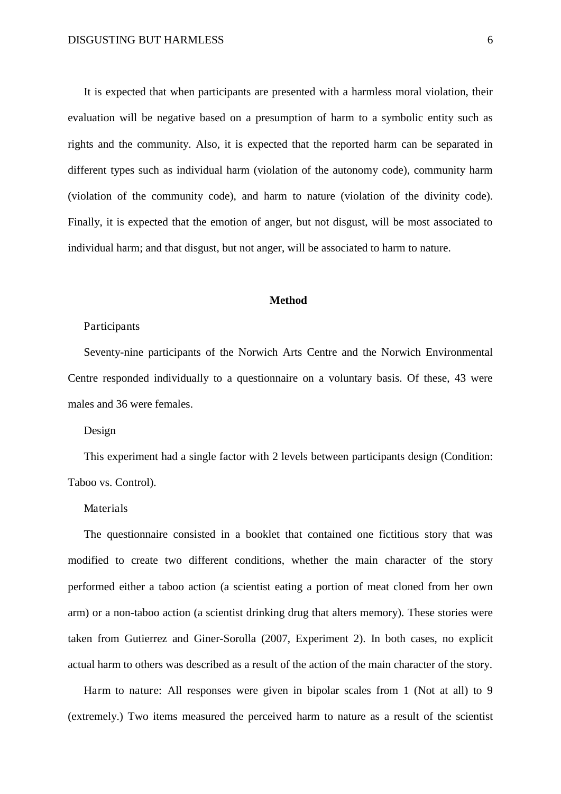It is expected that when participants are presented with a harmless moral violation, their evaluation will be negative based on a presumption of harm to a symbolic entity such as rights and the community. Also, it is expected that the reported harm can be separated in different types such as individual harm (violation of the autonomy code), community harm (violation of the community code), and harm to nature (violation of the divinity code). Finally, it is expected that the emotion of anger, but not disgust, will be most associated to individual harm; and that disgust, but not anger, will be associated to harm to nature.

#### **Method**

#### Participants

Seventy-nine participants of the Norwich Arts Centre and the Norwich Environmental Centre responded individually to a questionnaire on a voluntary basis. Of these, 43 were males and 36 were females.

Design

This experiment had a single factor with 2 levels between participants design (Condition: Taboo vs. Control).

#### Materials

The questionnaire consisted in a booklet that contained one fictitious story that was modified to create two different conditions, whether the main character of the story performed either a taboo action (a scientist eating a portion of meat cloned from her own arm) or a non-taboo action (a scientist drinking drug that alters memory). These stories were taken from Gutierrez and Giner-Sorolla (2007, Experiment 2). In both cases, no explicit actual harm to others was described as a result of the action of the main character of the story.

Harm to nature: All responses were given in bipolar scales from 1 (Not at all) to 9 (extremely.) Two items measured the perceived harm to nature as a result of the scientist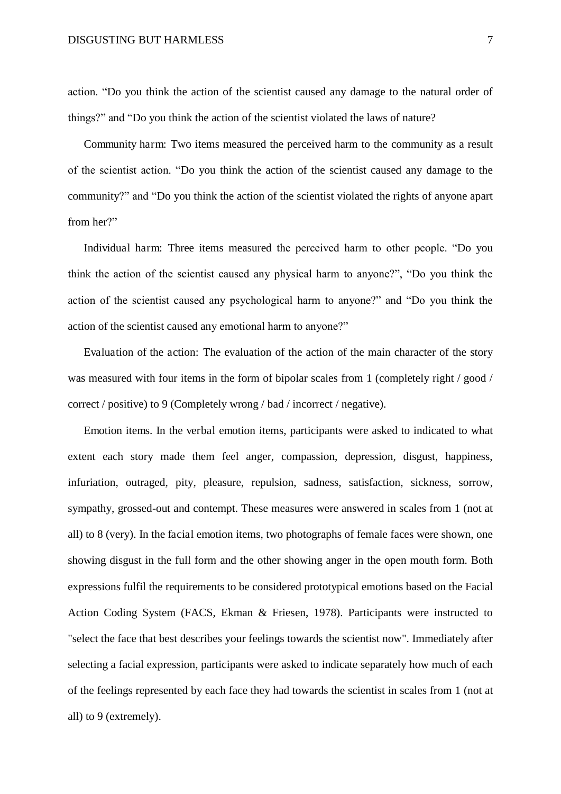action. "Do you think the action of the scientist caused any damage to the natural order of things?" and "Do you think the action of the scientist violated the laws of nature?

Community harm: Two items measured the perceived harm to the community as a result of the scientist action. "Do you think the action of the scientist caused any damage to the community?" and "Do you think the action of the scientist violated the rights of anyone apart from her?"

Individual harm: Three items measured the perceived harm to other people. "Do you think the action of the scientist caused any physical harm to anyone?", "Do you think the action of the scientist caused any psychological harm to anyone?" and "Do you think the action of the scientist caused any emotional harm to anyone?"

Evaluation of the action: The evaluation of the action of the main character of the story was measured with four items in the form of bipolar scales from 1 (completely right / good / correct / positive) to 9 (Completely wrong / bad / incorrect / negative).

Emotion items. In the verbal emotion items, participants were asked to indicated to what extent each story made them feel anger, compassion, depression, disgust, happiness, infuriation, outraged, pity, pleasure, repulsion, sadness, satisfaction, sickness, sorrow, sympathy, grossed-out and contempt. These measures were answered in scales from 1 (not at all) to 8 (very). In the facial emotion items, two photographs of female faces were shown, one showing disgust in the full form and the other showing anger in the open mouth form. Both expressions fulfil the requirements to be considered prototypical emotions based on the Facial Action Coding System (FACS, Ekman & Friesen, 1978). Participants were instructed to "select the face that best describes your feelings towards the scientist now". Immediately after selecting a facial expression, participants were asked to indicate separately how much of each of the feelings represented by each face they had towards the scientist in scales from 1 (not at all) to 9 (extremely).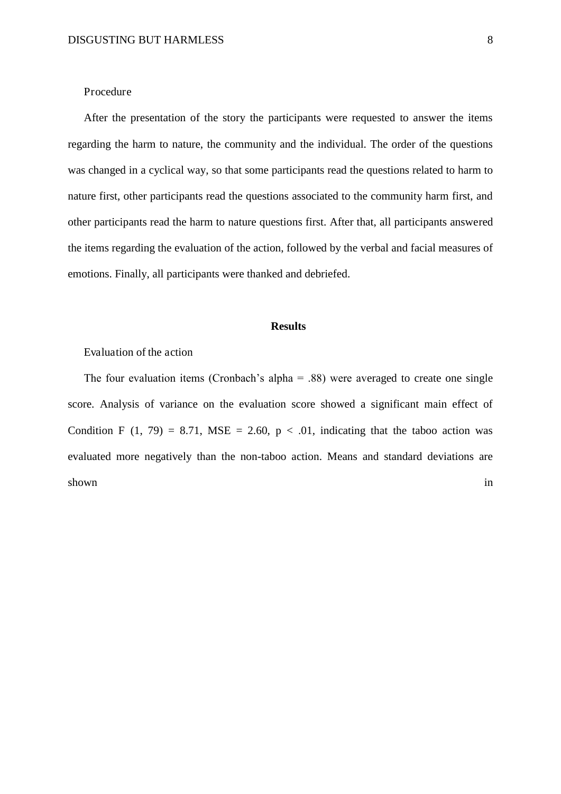#### Procedure

<span id="page-8-0"></span>After the presentation of the story the participants were requested to answer the items regarding the harm to nature, the community and the individual. The order of the questions was changed in a cyclical way, so that some participants read the questions related to harm to nature first, other participants read the questions associated to the community harm first, and other participants read the harm to nature questions first. After that, all participants answered the items regarding the evaluation of the action, followed by the verbal and facial measures of emotions. Finally, all participants were thanked and debriefed.

#### **Results**

#### Evaluation of the action

The four evaluation items (Cronbach's alpha  $= .88$ ) were averaged to create one single score. Analysis of variance on the evaluation score showed a significant main effect of Condition F (1, 79) = 8.71, MSE = 2.60,  $p < .01$ , indicating that the taboo action was evaluated more negatively than the non-taboo action. Means and standard deviations are shown in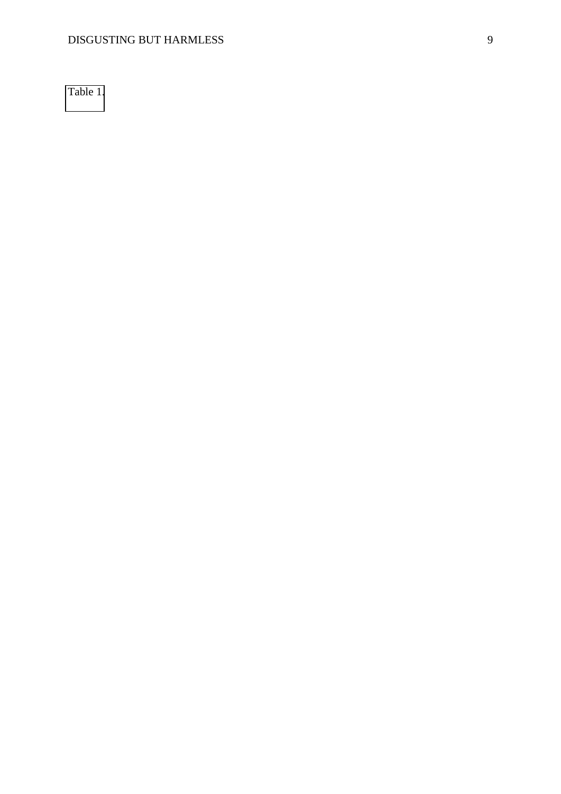[Table 1.](#page-8-0)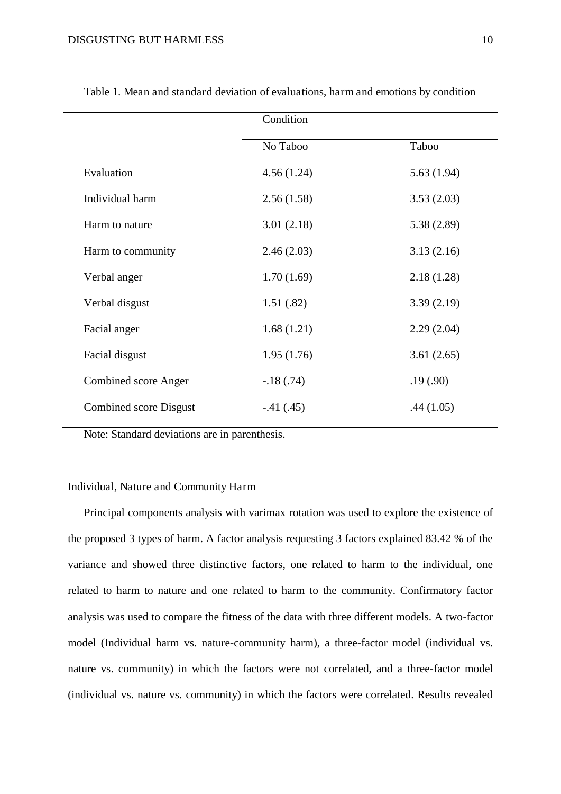|                        | Condition   |             |  |  |
|------------------------|-------------|-------------|--|--|
|                        | No Taboo    | Taboo       |  |  |
| Evaluation             | 4.56(1.24)  | 5.63(1.94)  |  |  |
| Individual harm        | 2.56(1.58)  | 3.53(2.03)  |  |  |
| Harm to nature         | 3.01(2.18)  | 5.38 (2.89) |  |  |
| Harm to community      | 2.46(2.03)  | 3.13(2.16)  |  |  |
| Verbal anger           | 1.70(1.69)  | 2.18(1.28)  |  |  |
| Verbal disgust         | 1.51(.82)   | 3.39(2.19)  |  |  |
| Facial anger           | 1.68(1.21)  | 2.29(2.04)  |  |  |
| Facial disgust         | 1.95(1.76)  | 3.61(2.65)  |  |  |
| Combined score Anger   | $-.18(.74)$ | .19(.90)    |  |  |
| Combined score Disgust | $-.41(.45)$ | .44(1.05)   |  |  |
|                        |             |             |  |  |

Table 1. Mean and standard deviation of evaluations, harm and emotions by condition

<span id="page-10-0"></span>Note: Standard deviations are in parenthesis.

#### Individual, Nature and Community Harm

Principal components analysis with varimax rotation was used to explore the existence of the proposed 3 types of harm. A factor analysis requesting 3 factors explained 83.42 % of the variance and showed three distinctive factors, one related to harm to the individual, one related to harm to nature and one related to harm to the community. Confirmatory factor analysis was used to compare the fitness of the data with three different models. A two-factor model (Individual harm vs. nature-community harm), a three-factor model (individual vs. nature vs. community) in which the factors were not correlated, and a three-factor model (individual vs. nature vs. community) in which the factors were correlated. Results revealed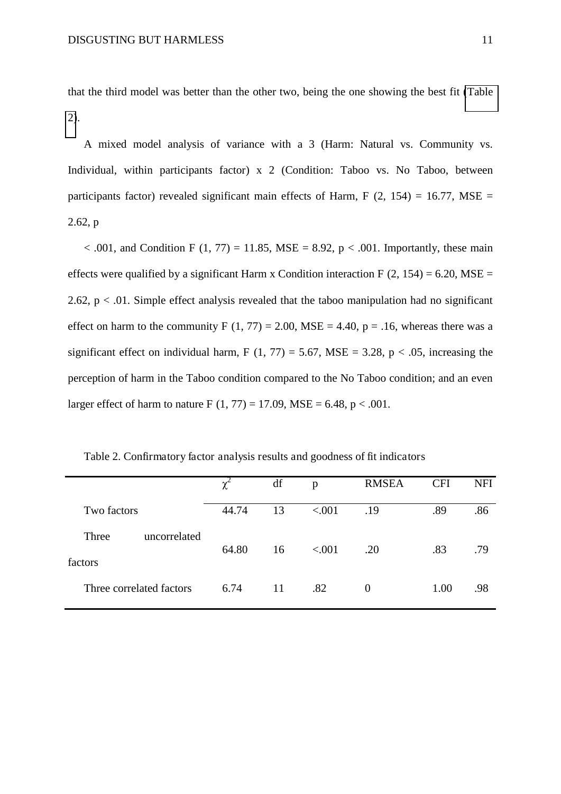that the third model was better than the other two, being the one showing the best fit [\(Table](#page-10-0)  [2\)](#page-10-0).

A mixed model analysis of variance with a 3 (Harm: Natural vs. Community vs. Individual, within participants factor) x 2 (Condition: Taboo vs. No Taboo, between participants factor) revealed significant main effects of Harm, F  $(2, 154) = 16.77$ , MSE = 2.62, p

 $< .001$ , and Condition F (1, 77) = 11.85, MSE = 8.92, p  $< .001$ . Importantly, these main effects were qualified by a significant Harm x Condition interaction F  $(2, 154) = 6.20$ , MSE = 2.62,  $p < 0.01$ . Simple effect analysis revealed that the taboo manipulation had no significant effect on harm to the community F  $(1, 77) = 2.00$ , MSE = 4.40, p = .16, whereas there was a significant effect on individual harm, F  $(1, 77) = 5.67$ , MSE = 3.28, p < .05, increasing the perception of harm in the Taboo condition compared to the No Taboo condition; and an even larger effect of harm to nature F  $(1, 77) = 17.09$ , MSE = 6.48, p < .001.

|                                  | χ     | df | p       | <b>RMSEA</b> | <b>CFI</b> | <b>NFI</b> |
|----------------------------------|-------|----|---------|--------------|------------|------------|
| Two factors                      | 44.74 | 13 | < .001  | .19          | .89        | .86        |
| Three<br>uncorrelated<br>factors | 64.80 | 16 | < 0.001 | .20          | .83        | .79        |
| Three correlated factors         | 6.74  | 11 | .82     | $\theta$     | 1.00       | .98        |

Table 2. Confirmatory factor analysis results and goodness of fit indicators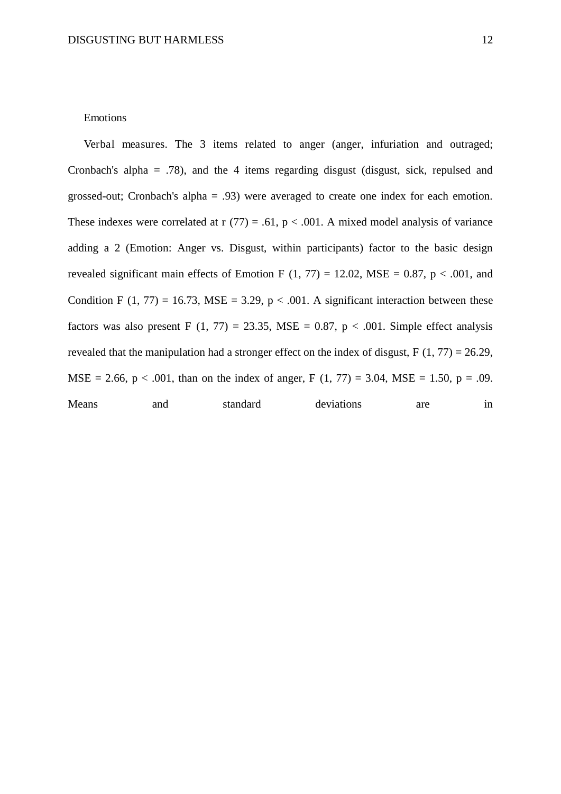#### Emotions

Verbal measures. The 3 items related to anger (anger, infuriation and outraged; Cronbach's alpha = .78), and the 4 items regarding disgust (disgust, sick, repulsed and grossed-out; Cronbach's alpha = .93) were averaged to create one index for each emotion. These indexes were correlated at  $r(77) = .61$ ,  $p < .001$ . A mixed model analysis of variance adding a 2 (Emotion: Anger vs. Disgust, within participants) factor to the basic design revealed significant main effects of Emotion F  $(1, 77) = 12.02$ , MSE = 0.87, p < .001, and Condition F (1, 77) = 16.73, MSE = 3.29,  $p < .001$ . A significant interaction between these factors was also present F (1, 77) = 23.35, MSE = 0.87, p < .001. Simple effect analysis revealed that the manipulation had a stronger effect on the index of disgust,  $F(1, 77) = 26.29$ , MSE = 2.66,  $p < .001$ , than on the index of anger, F (1, 77) = 3.04, MSE = 1.50,  $p = .09$ . Means and standard deviations are in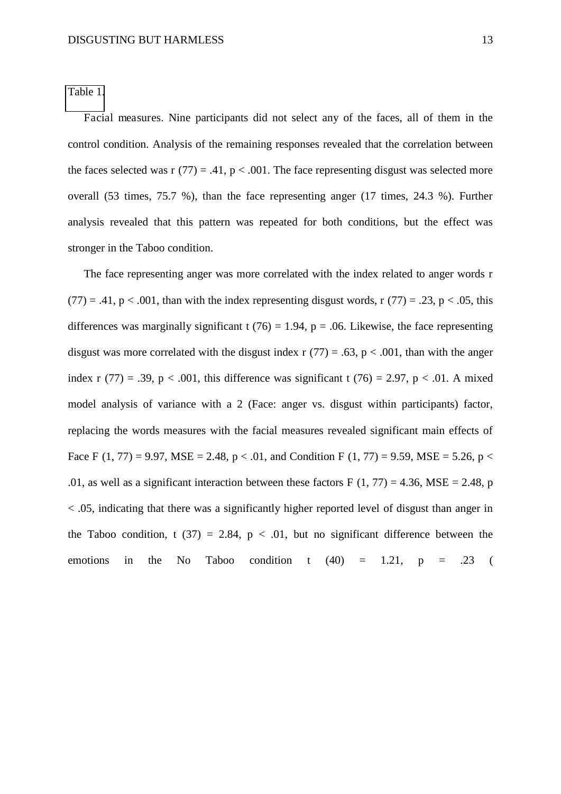[Table 1.](#page-8-0)

Facial measures. Nine participants did not select any of the faces, all of them in the control condition. Analysis of the remaining responses revealed that the correlation between the faces selected was r  $(77) = .41$ ,  $p < .001$ . The face representing disgust was selected more overall (53 times, 75.7 %), than the face representing anger (17 times, 24.3 %). Further analysis revealed that this pattern was repeated for both conditions, but the effect was stronger in the Taboo condition.

The face representing anger was more correlated with the index related to anger words r  $(77) = .41$ ,  $p < .001$ , than with the index representing disgust words, r  $(77) = .23$ ,  $p < .05$ , this differences was marginally significant t (76) = 1.94, p = .06. Likewise, the face representing disgust was more correlated with the disgust index r  $(77) = .63$ , p < .001, than with the anger index r (77) = .39, p < .001, this difference was significant t (76) = 2.97, p < .01. A mixed model analysis of variance with a 2 (Face: anger vs. disgust within participants) factor, replacing the words measures with the facial measures revealed significant main effects of Face F (1, 77) = 9.97, MSE = 2.48, p < .01, and Condition F (1, 77) = 9.59, MSE = 5.26, p < .01, as well as a significant interaction between these factors F  $(1, 77) = 4.36$ , MSE = 2.48, p < .05, indicating that there was a significantly higher reported level of disgust than anger in the Taboo condition, t (37) = 2.84,  $p < .01$ , but no significant difference between the emotions in the No Taboo condition t  $(40) = 1.21$ ,  $p = .23$  (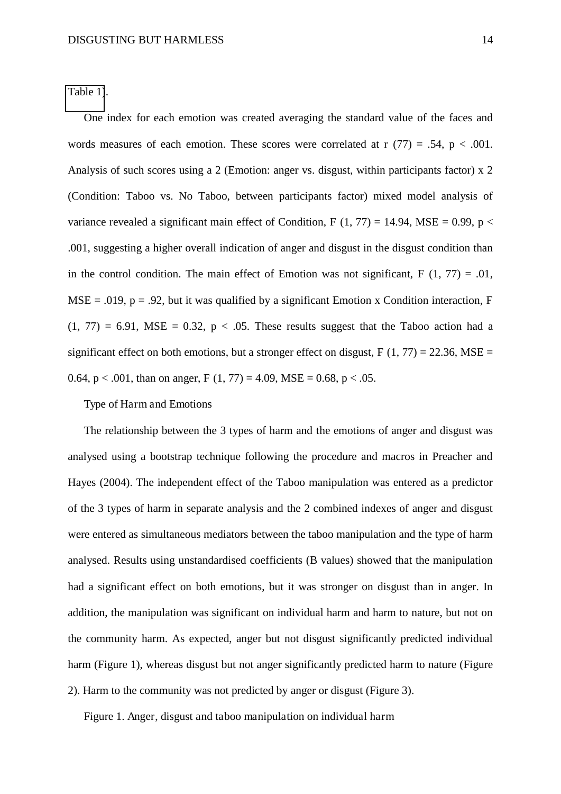[Table 1\)](#page-8-0).

One index for each emotion was created averaging the standard value of the faces and words measures of each emotion. These scores were correlated at r  $(77) = .54$ , p < .001. Analysis of such scores using a 2 (Emotion: anger vs. disgust, within participants factor) x 2 (Condition: Taboo vs. No Taboo, between participants factor) mixed model analysis of variance revealed a significant main effect of Condition, F  $(1, 77) = 14.94$ , MSE = 0.99, p < .001, suggesting a higher overall indication of anger and disgust in the disgust condition than in the control condition. The main effect of Emotion was not significant,  $F(1, 77) = .01$ ,  $MSE = .019$ ,  $p = .92$ , but it was qualified by a significant Emotion x Condition interaction, F  $(1, 77) = 6.91$ , MSE = 0.32, p < .05. These results suggest that the Taboo action had a significant effect on both emotions, but a stronger effect on disgust,  $F(1, 77) = 22.36$ , MSE = 0.64,  $p < .001$ , than on anger,  $F(1, 77) = 4.09$ ,  $MSE = 0.68$ ,  $p < .05$ .

Type of Harm and Emotions

The relationship between the 3 types of harm and the emotions of anger and disgust was analysed using a bootstrap technique following the procedure and macros in Preacher and Hayes (2004). The independent effect of the Taboo manipulation was entered as a predictor of the 3 types of harm in separate analysis and the 2 combined indexes of anger and disgust were entered as simultaneous mediators between the taboo manipulation and the type of harm analysed. Results using unstandardised coefficients (B values) showed that the manipulation had a significant effect on both emotions, but it was stronger on disgust than in anger. In addition, the manipulation was significant on individual harm and harm to nature, but not on the community harm. As expected, anger but not disgust significantly predicted individual harm (Figure 1), whereas disgust but not anger significantly predicted harm to nature (Figure 2). Harm to the community was not predicted by anger or disgust (Figure 3).

Figure 1. Anger, disgust and taboo manipulation on individual harm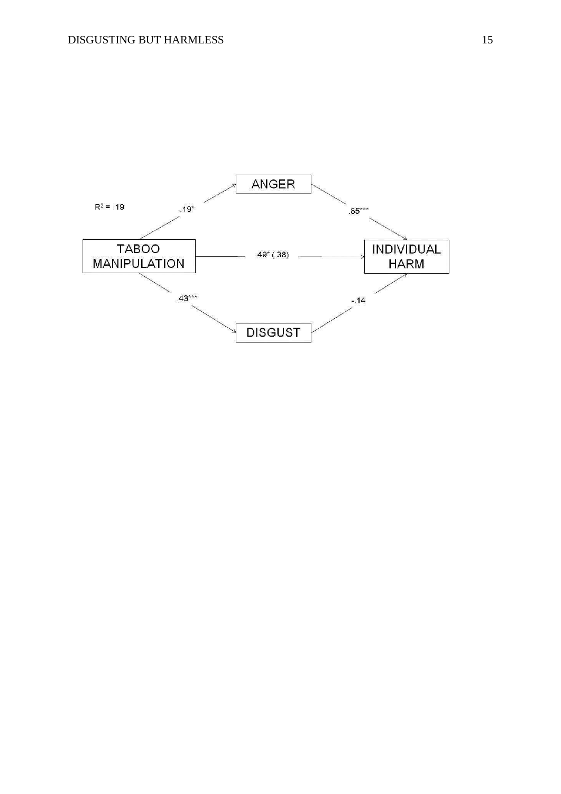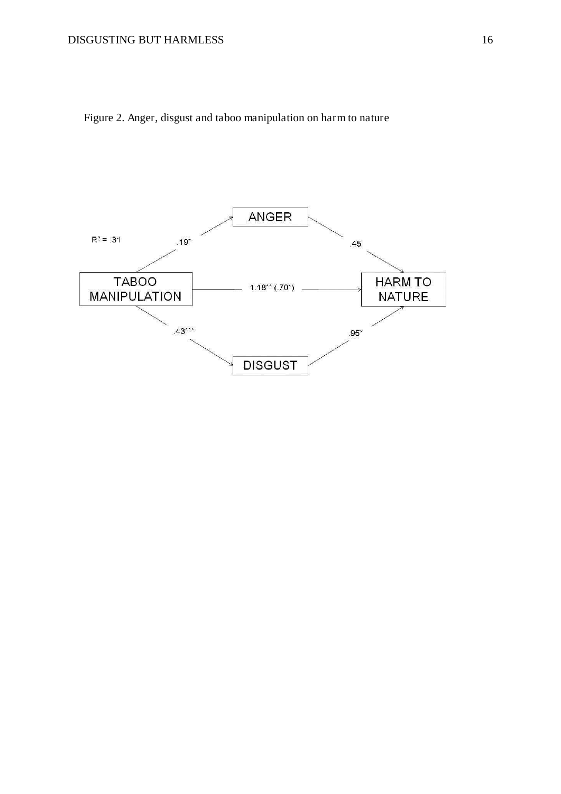

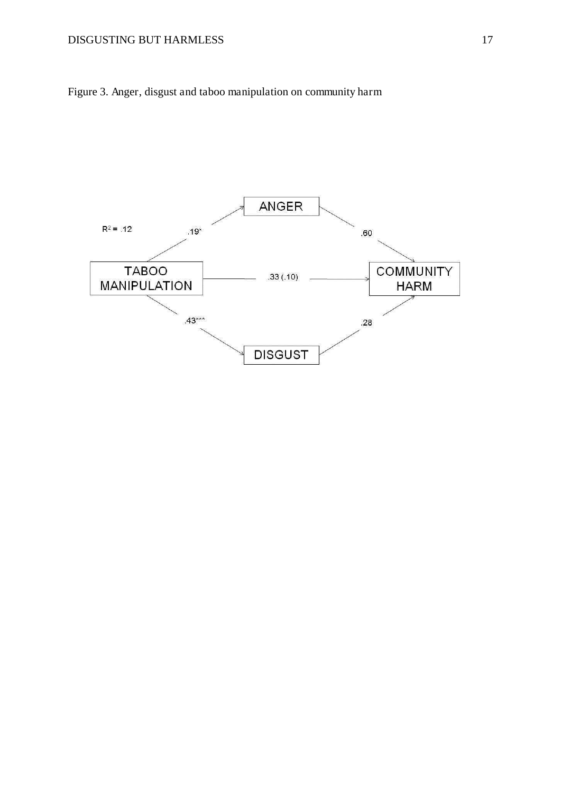#### DISGUSTING BUT HARMLESS 17



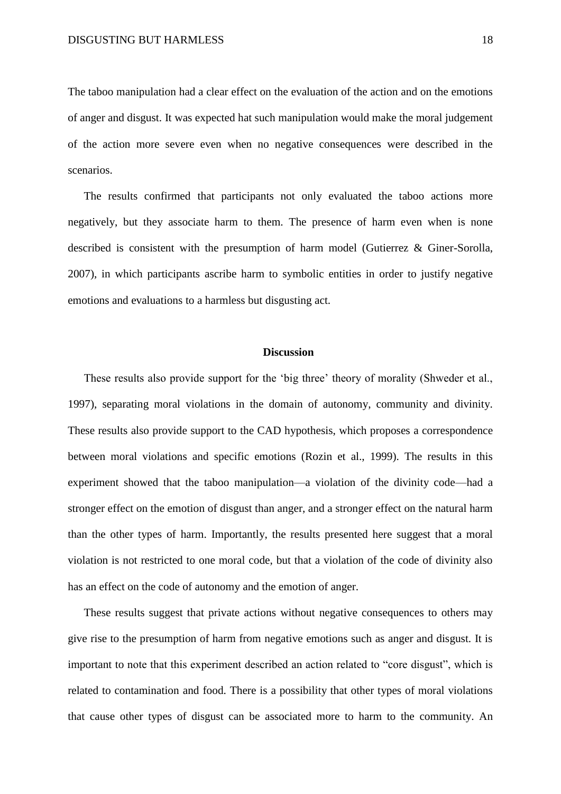The taboo manipulation had a clear effect on the evaluation of the action and on the emotions of anger and disgust. It was expected hat such manipulation would make the moral judgement of the action more severe even when no negative consequences were described in the scenarios.

The results confirmed that participants not only evaluated the taboo actions more negatively, but they associate harm to them. The presence of harm even when is none described is consistent with the presumption of harm model (Gutierrez & Giner-Sorolla, 2007), in which participants ascribe harm to symbolic entities in order to justify negative emotions and evaluations to a harmless but disgusting act.

#### **Discussion**

These results also provide support for the 'big three' theory of morality (Shweder et al., 1997), separating moral violations in the domain of autonomy, community and divinity. These results also provide support to the CAD hypothesis, which proposes a correspondence between moral violations and specific emotions (Rozin et al., 1999). The results in this experiment showed that the taboo manipulation—a violation of the divinity code—had a stronger effect on the emotion of disgust than anger, and a stronger effect on the natural harm than the other types of harm. Importantly, the results presented here suggest that a moral violation is not restricted to one moral code, but that a violation of the code of divinity also has an effect on the code of autonomy and the emotion of anger.

These results suggest that private actions without negative consequences to others may give rise to the presumption of harm from negative emotions such as anger and disgust. It is important to note that this experiment described an action related to "core disgust", which is related to contamination and food. There is a possibility that other types of moral violations that cause other types of disgust can be associated more to harm to the community. An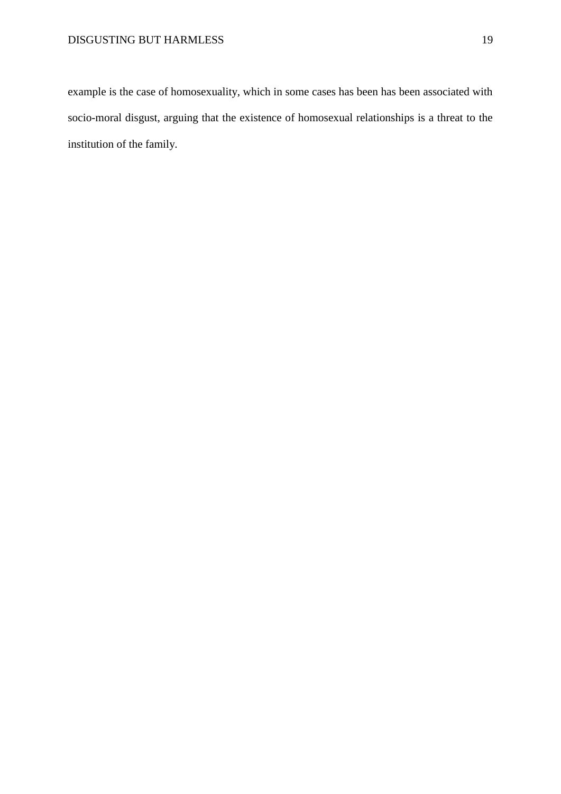example is the case of homosexuality, which in some cases has been has been associated with socio-moral disgust, arguing that the existence of homosexual relationships is a threat to the institution of the family.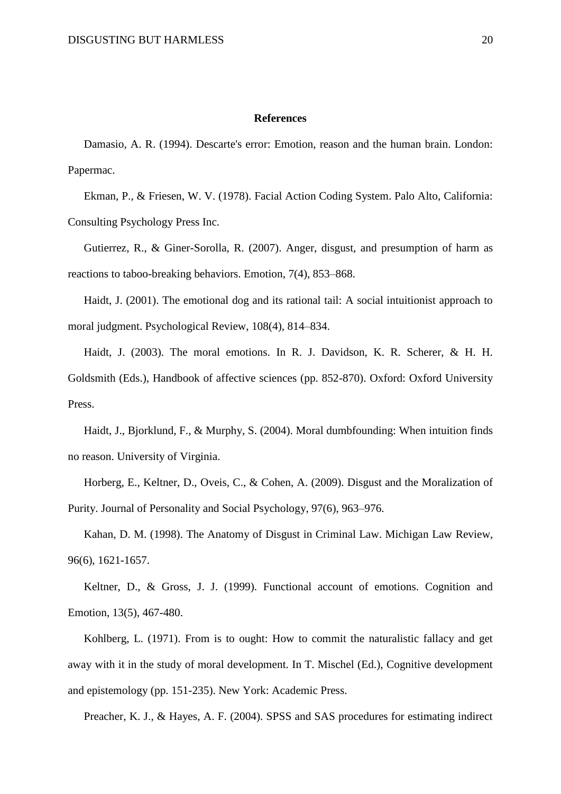#### **References**

Damasio, A. R. (1994). Descarte's error: Emotion, reason and the human brain. London: Papermac.

Ekman, P., & Friesen, W. V. (1978). Facial Action Coding System. Palo Alto, California: Consulting Psychology Press Inc.

Gutierrez, R., & Giner-Sorolla, R. (2007). Anger, disgust, and presumption of harm as reactions to taboo-breaking behaviors. Emotion, 7(4), 853–868.

Haidt, J. (2001). The emotional dog and its rational tail: A social intuitionist approach to moral judgment. Psychological Review, 108(4), 814–834.

Haidt, J. (2003). The moral emotions. In R. J. Davidson, K. R. Scherer, & H. H. Goldsmith (Eds.), Handbook of affective sciences (pp. 852-870). Oxford: Oxford University Press.

Haidt, J., Bjorklund, F., & Murphy, S. (2004). Moral dumbfounding: When intuition finds no reason. University of Virginia.

Horberg, E., Keltner, D., Oveis, C., & Cohen, A. (2009). Disgust and the Moralization of Purity. Journal of Personality and Social Psychology, 97(6), 963–976.

Kahan, D. M. (1998). The Anatomy of Disgust in Criminal Law. Michigan Law Review, 96(6), 1621-1657.

Keltner, D., & Gross, J. J. (1999). Functional account of emotions. Cognition and Emotion, 13(5), 467-480.

Kohlberg, L. (1971). From is to ought: How to commit the naturalistic fallacy and get away with it in the study of moral development. In T. Mischel (Ed.), Cognitive development and epistemology (pp. 151-235). New York: Academic Press.

Preacher, K. J., & Hayes, A. F. (2004). SPSS and SAS procedures for estimating indirect